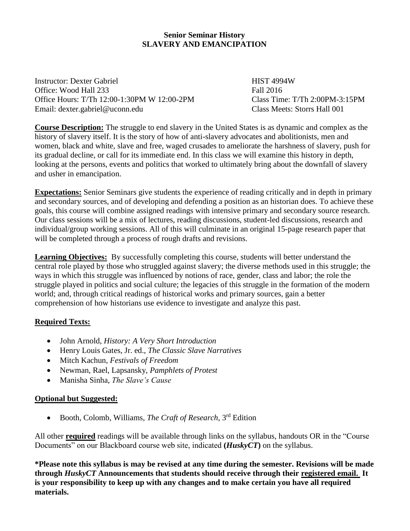## **Senior Seminar History SLAVERY AND EMANCIPATION**

Instructor: Dexter Gabriel **HIST 4994W** Office: Wood Hall 233 Fall 2016 Office Hours: T/Th 12:00-1:30PM W 12:00-2PM Class Time: T/Th 2:00PM-3:15PM Email: dexter.gabriel@uconn.edu Class Meets: Storrs Hall 001

**Course Description:** The struggle to end slavery in the United States is as dynamic and complex as the history of slavery itself. It is the story of how of anti-slavery advocates and abolitionists, men and women, black and white, slave and free, waged crusades to ameliorate the harshness of slavery, push for its gradual decline, or call for its immediate end. In this class we will examine this history in depth, looking at the persons, events and politics that worked to ultimately bring about the downfall of slavery and usher in emancipation.

**Expectations:** Senior Seminars give students the experience of reading critically and in depth in primary and secondary sources, and of developing and defending a position as an historian does. To achieve these goals, this course will combine assigned readings with intensive primary and secondary source research. Our class sessions will be a mix of lectures, reading discussions, student-led discussions, research and individual/group working sessions. All of this will culminate in an original 15-page research paper that will be completed through a process of rough drafts and revisions.

**Learning Objectives:** By successfully completing this course, students will better understand the central role played by those who struggled against slavery; the diverse methods used in this struggle; the ways in which this struggle was influenced by notions of race, gender, class and labor; the role the struggle played in politics and social culture; the legacies of this struggle in the formation of the modern world; and, through critical readings of historical works and primary sources, gain a better comprehension of how historians use evidence to investigate and analyze this past.

## **Required Texts:**

- John Arnold, *History: A Very Short Introduction*
- Henry Louis Gates, Jr. ed., *The Classic Slave Narratives*
- Mitch Kachun, *Festivals of Freedom*
- Newman, Rael, Lapsansky, *Pamphlets of Protest*
- Manisha Sinha, *The Slave's Cause*

## **Optional but Suggested:**

• Booth, Colomb, Williams, *The Craft of Research*, 3<sup>rd</sup> Edition

All other **required** readings will be available through links on the syllabus, handouts OR in the "Course Documents" on our Blackboard course web site, indicated **(***HuskyCT***)** on the syllabus.

**\*Please note this syllabus is may be revised at any time during the semester. Revisions will be made through** *HuskyCT* **Announcements that students should receive through their registered email. It is your responsibility to keep up with any changes and to make certain you have all required materials.**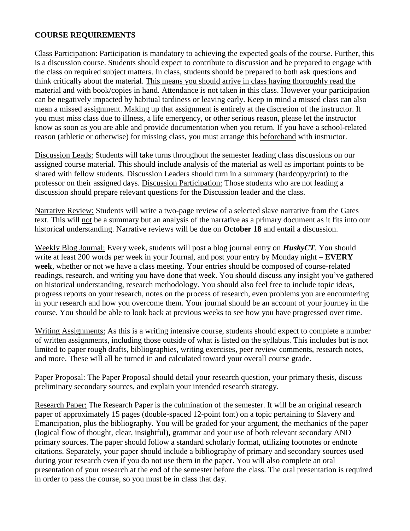#### **COURSE REQUIREMENTS**

Class Participation: Participation is mandatory to achieving the expected goals of the course. Further, this is a discussion course. Students should expect to contribute to discussion and be prepared to engage with the class on required subject matters. In class, students should be prepared to both ask questions and think critically about the material. This means you should arrive in class having thoroughly read the material and with book/copies in hand. Attendance is not taken in this class. However your participation can be negatively impacted by habitual tardiness or leaving early. Keep in mind a missed class can also mean a missed assignment. Making up that assignment is entirely at the discretion of the instructor. If you must miss class due to illness, a life emergency, or other serious reason, please let the instructor know as soon as you are able and provide documentation when you return. If you have a school-related reason (athletic or otherwise) for missing class, you must arrange this beforehand with instructor.

Discussion Leads: Students will take turns throughout the semester leading class discussions on our assigned course material. This should include analysis of the material as well as important points to be shared with fellow students. Discussion Leaders should turn in a summary (hardcopy/print) to the professor on their assigned days. Discussion Participation: Those students who are not leading a discussion should prepare relevant questions for the Discussion leader and the class.

Narrative Review: Students will write a two-page review of a selected slave narrative from the Gates text. This will not be a summary but an analysis of the narrative as a primary document as it fits into our historical understanding. Narrative reviews will be due on **October 18** and entail a discussion.

Weekly Blog Journal: Every week, students will post a blog journal entry on *HuskyCT*. You should write at least 200 words per week in your Journal, and post your entry by Monday night – **EVERY week**, whether or not we have a class meeting. Your entries should be composed of course-related readings, research, and writing you have done that week. You should discuss any insight you've gathered on historical understanding, research methodology. You should also feel free to include topic ideas, progress reports on your research, notes on the process of research, even problems you are encountering in your research and how you overcome them. Your journal should be an account of your journey in the course. You should be able to look back at previous weeks to see how you have progressed over time.

Writing Assignments: As this is a writing intensive course, students should expect to complete a number of written assignments, including those outside of what is listed on the syllabus. This includes but is not limited to paper rough drafts, bibliographies, writing exercises, peer review comments, research notes, and more. These will all be turned in and calculated toward your overall course grade.

Paper Proposal: The Paper Proposal should detail your research question, your primary thesis, discuss preliminary secondary sources, and explain your intended research strategy.

Research Paper: The Research Paper is the culmination of the semester. It will be an original research paper of approximately 15 pages (double-spaced 12-point font) on a topic pertaining to Slavery and Emancipation, plus the bibliography. You will be graded for your argument, the mechanics of the paper (logical flow of thought, clear, insightful), grammar and your use of both relevant secondary AND primary sources. The paper should follow a standard scholarly format, utilizing footnotes or endnote citations. Separately, your paper should include a bibliography of primary and secondary sources used during your research even if you do not use them in the paper. You will also complete an oral presentation of your research at the end of the semester before the class. The oral presentation is required in order to pass the course, so you must be in class that day.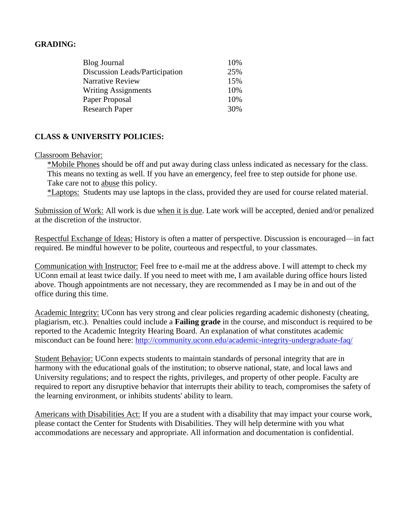#### **GRADING:**

| <b>Blog Journal</b>            | 10% |
|--------------------------------|-----|
| Discussion Leads/Participation | 25% |
| <b>Narrative Review</b>        | 15% |
| <b>Writing Assignments</b>     | 10% |
| Paper Proposal                 | 10% |
| <b>Research Paper</b>          | 30% |

## **CLASS & UNIVERSITY POLICIES:**

#### Classroom Behavior:

\*Mobile Phones should be off and put away during class unless indicated as necessary for the class. This means no texting as well. If you have an emergency, feel free to step outside for phone use. Take care not to abuse this policy.

\*Laptops: Students may use laptops in the class, provided they are used for course related material.

Submission of Work: All work is due when it is due. Late work will be accepted, denied and/or penalized at the discretion of the instructor.

Respectful Exchange of Ideas: History is often a matter of perspective. Discussion is encouraged—in fact required. Be mindful however to be polite, courteous and respectful, to your classmates.

Communication with Instructor: Feel free to e-mail me at the address above. I will attempt to check my UConn email at least twice daily. If you need to meet with me, I am available during office hours listed above. Though appointments are not necessary, they are recommended as I may be in and out of the office during this time.

Academic Integrity: UConn has very strong and clear policies regarding academic dishonesty (cheating, plagiarism, etc.). Penalties could include a **Failing grade** in the course, and misconduct is required to be reported to the Academic Integrity Hearing Board. An explanation of what constitutes academic misconduct can be found here:<http://community.uconn.edu/academic-integrity-undergraduate-faq/>

Student Behavior: UConn expects students to maintain standards of personal integrity that are in harmony with the educational goals of the institution; to observe national, state, and local laws and University regulations; and to respect the rights, privileges, and property of other people. Faculty are required to report any disruptive behavior that interrupts their ability to teach, compromises the safety of the learning environment, or inhibits students' ability to learn.

Americans with Disabilities Act: If you are a student with a disability that may impact your course work, please contact the Center for Students with Disabilities. They will help determine with you what accommodations are necessary and appropriate. All information and documentation is confidential.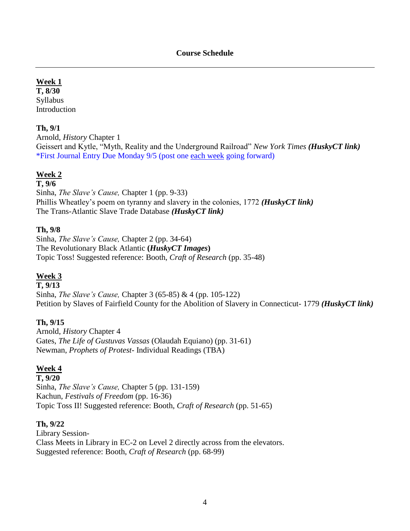## **Week 1**

**T, 8/30** Syllabus Introduction

## **Th, 9/1**

Arnold, *History* Chapter 1 Geissert and Kytle, "Myth, Reality and the Underground Railroad" *New York Times (HuskyCT link)* \*First Journal Entry Due Monday 9/5 (post one each week going forward)

## **Week 2**

## **T, 9/6**

Sinha, *The Slave's Cause,* Chapter 1 (pp. 9-33) Phillis Wheatley's poem on tyranny and slavery in the colonies, 1772 *(HuskyCT link)* The Trans-Atlantic Slave Trade Database *(HuskyCT link)*

## **Th, 9/8**

Sinha, *The Slave's Cause,* Chapter 2 (pp. 34-64) The Revolutionary Black Atlantic **(***HuskyCT Images***)** Topic Toss! Suggested reference: Booth, *Craft of Research* (pp. 35-48)

## **Week 3**

#### **T, 9/13**

Sinha, *The Slave's Cause,* Chapter 3 (65-85) & 4 (pp. 105-122) Petition by Slaves of Fairfield County for the Abolition of Slavery in Connecticut- 1779 *(HuskyCT link)*

## **Th, 9/15**

Arnold, *History* Chapter 4 Gates, *The Life of Gustuvas Vassas* (Olaudah Equiano) (pp. 31-61) Newman, *Prophets of Protest*- Individual Readings (TBA)

## **Week 4**

**T, 9/20** Sinha, *The Slave's Cause,* Chapter 5 (pp. 131-159) Kachun, *Festivals of Freedom* (pp. 16-36) Topic Toss II! Suggested reference: Booth, *Craft of Research* (pp. 51-65)

## **Th, 9/22**

Library Session-Class Meets in Library in EC-2 on Level 2 directly across from the elevators. Suggested reference: Booth, *Craft of Research* (pp. 68-99)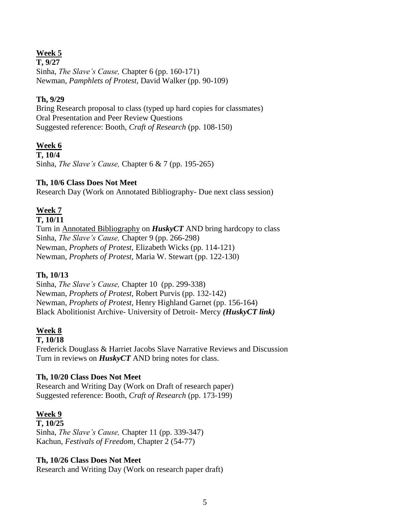## **Week 5**

**T, 9/27** Sinha, *The Slave's Cause,* Chapter 6 (pp. 160-171) Newman, *Pamphlets of Protest,* David Walker (pp. 90-109)

## **Th, 9/29**

Bring Research proposal to class (typed up hard copies for classmates) Oral Presentation and Peer Review Questions Suggested reference: Booth, *Craft of Research* (pp. 108-150)

## **Week 6**

**T, 10/4** Sinha, *The Slave's Cause,* Chapter 6 & 7 (pp. 195-265)

## **Th, 10/6 Class Does Not Meet**

Research Day (Work on Annotated Bibliography- Due next class session)

## **Week 7**

#### **T, 10/11**

Turn in Annotated Bibliography on *HuskyCT* AND bring hardcopy to class Sinha, *The Slave's Cause,* Chapter 9 (pp. 266-298) Newman, *Prophets of Protest,* Elizabeth Wicks (pp. 114-121) Newman, *Prophets of Protest,* Maria W. Stewart (pp. 122-130)

## **Th, 10/13**

Sinha, *The Slave's Cause,* Chapter 10 (pp. 299-338) Newman, *Prophets of Protest,* Robert Purvis (pp. 132-142) Newman, *Prophets of Protest,* Henry Highland Garnet (pp. 156-164) Black Abolitionist Archive- University of Detroit- Mercy *(HuskyCT link)*

## **Week 8**

#### **T, 10/18**

Frederick Douglass & Harriet Jacobs Slave Narrative Reviews and Discussion Turn in reviews on *HuskyCT* AND bring notes for class.

## **Th, 10/20 Class Does Not Meet**

Research and Writing Day (Work on Draft of research paper) Suggested reference: Booth, *Craft of Research* (pp. 173-199)

## **Week 9**

**T, 10/25**  Sinha, *The Slave's Cause,* Chapter 11 (pp. 339-347) Kachun, *Festivals of Freedom,* Chapter 2 (54-77)

## **Th, 10/26 Class Does Not Meet**

Research and Writing Day (Work on research paper draft)